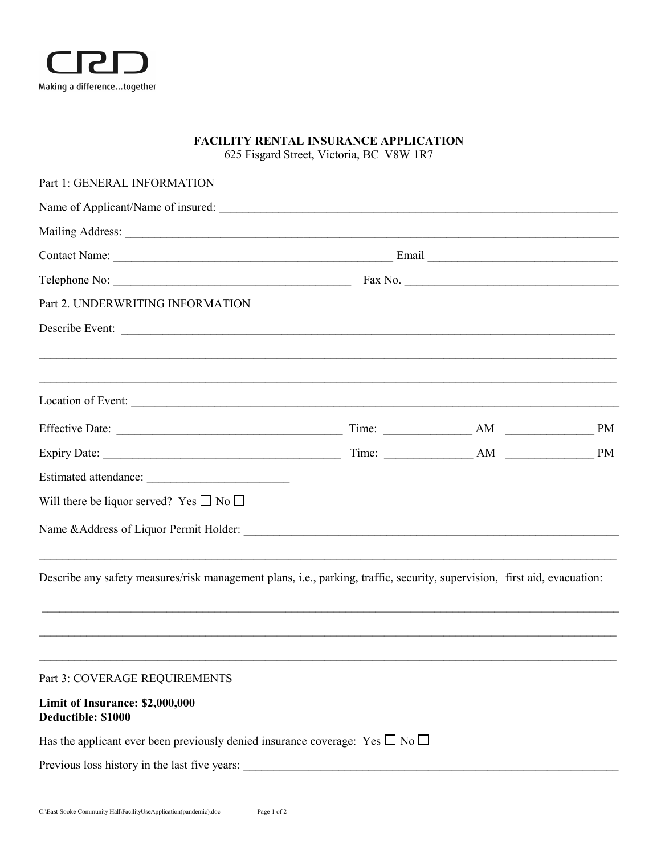

## **FACILITY RENTAL INSURANCE APPLICATION**

625 Fisgard Street, Victoria, BC V8W 1R7

| Part 1: GENERAL INFORMATION                                                                                               |                                                                                                                |  |  |  |
|---------------------------------------------------------------------------------------------------------------------------|----------------------------------------------------------------------------------------------------------------|--|--|--|
|                                                                                                                           |                                                                                                                |  |  |  |
|                                                                                                                           |                                                                                                                |  |  |  |
|                                                                                                                           |                                                                                                                |  |  |  |
|                                                                                                                           | Fax No. 2008 2012 2022 2023 2024 2022 2023 2024 2022 2023 2024 2022 2023 2024 2022 2023 2024 2022 2023 2024 20 |  |  |  |
| Part 2. UNDERWRITING INFORMATION                                                                                          |                                                                                                                |  |  |  |
| Describe Event:                                                                                                           |                                                                                                                |  |  |  |
|                                                                                                                           |                                                                                                                |  |  |  |
|                                                                                                                           |                                                                                                                |  |  |  |
|                                                                                                                           |                                                                                                                |  |  |  |
|                                                                                                                           |                                                                                                                |  |  |  |
|                                                                                                                           |                                                                                                                |  |  |  |
| Will there be liquor served? Yes $\Box$ No $\Box$                                                                         |                                                                                                                |  |  |  |
|                                                                                                                           |                                                                                                                |  |  |  |
| Describe any safety measures/risk management plans, i.e., parking, traffic, security, supervision, first aid, evacuation: |                                                                                                                |  |  |  |
|                                                                                                                           |                                                                                                                |  |  |  |
| Part 3: COVERAGE REQUIREMENTS                                                                                             |                                                                                                                |  |  |  |
| Limit of Insurance: \$2,000,000<br>Deductible: \$1000                                                                     |                                                                                                                |  |  |  |
| Has the applicant ever been previously denied insurance coverage: Yes $\square$ No $\square$                              |                                                                                                                |  |  |  |
| Previous loss history in the last five years:                                                                             |                                                                                                                |  |  |  |